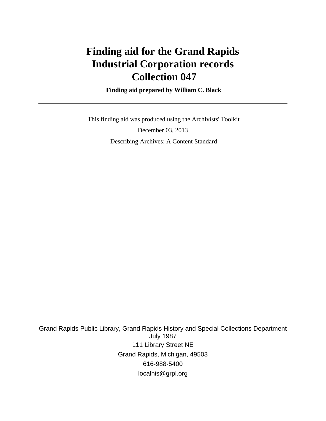# **Finding aid for the Grand Rapids Industrial Corporation records Collection 047**

 **Finding aid prepared by William C. Black**

 This finding aid was produced using the Archivists' Toolkit December 03, 2013 Describing Archives: A Content Standard

Grand Rapids Public Library, Grand Rapids History and Special Collections Department July 1987 111 Library Street NE Grand Rapids, Michigan, 49503 616-988-5400 localhis@grpl.org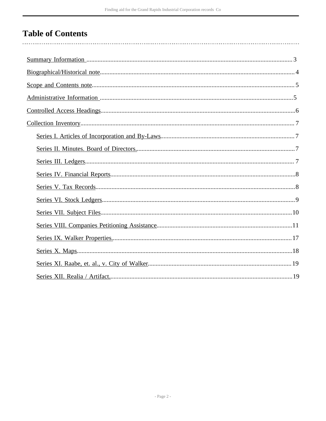## **Table of Contents**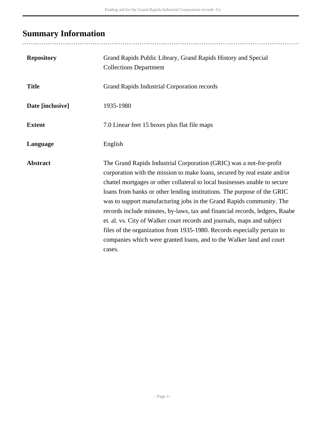## <span id="page-2-0"></span>**Summary Information**

..................................

| <b>Repository</b> | Grand Rapids Public Library, Grand Rapids History and Special<br><b>Collections Department</b>                                                                                                                                                                                                                                                                                                                                                                                                                                                                                                                                                                                                           |
|-------------------|----------------------------------------------------------------------------------------------------------------------------------------------------------------------------------------------------------------------------------------------------------------------------------------------------------------------------------------------------------------------------------------------------------------------------------------------------------------------------------------------------------------------------------------------------------------------------------------------------------------------------------------------------------------------------------------------------------|
| <b>Title</b>      | Grand Rapids Industrial Corporation records                                                                                                                                                                                                                                                                                                                                                                                                                                                                                                                                                                                                                                                              |
| Date [inclusive]  | 1935-1980                                                                                                                                                                                                                                                                                                                                                                                                                                                                                                                                                                                                                                                                                                |
| <b>Extent</b>     | 7.0 Linear feet 15 boxes plus flat file maps                                                                                                                                                                                                                                                                                                                                                                                                                                                                                                                                                                                                                                                             |
| Language          | English                                                                                                                                                                                                                                                                                                                                                                                                                                                                                                                                                                                                                                                                                                  |
| <b>Abstract</b>   | The Grand Rapids Industrial Corporation (GRIC) was a not-for-profit<br>corporation with the mission to make loans, secured by real estate and/or<br>chattel mortgages or other collateral to local businesses unable to secure<br>loans from banks or other lending institutions. The purpose of the GRIC<br>was to support manufacturing jobs in the Grand Rapids community. The<br>records include minutes, by-laws, tax and financial records, ledgers, Raabe<br>et. al. vs. City of Walker court records and journals, maps and subject<br>files of the organization from 1935-1980. Records especially pertain to<br>companies which were granted loans, and to the Walker land and court<br>cases. |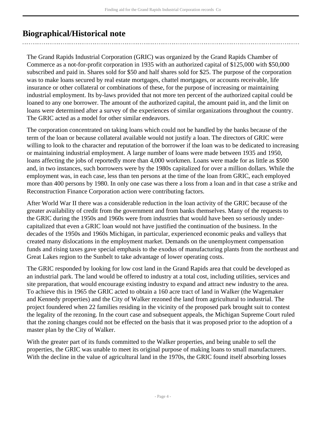## <span id="page-3-0"></span>**Biographical/Historical note**

The Grand Rapids Industrial Corporation (GRIC) was organized by the Grand Rapids Chamber of Commerce as a not-for-profit corporation in 1935 with an authorized capital of \$125,000 with \$50,000 subscribed and paid in. Shares sold for \$50 and half shares sold for \$25. The purpose of the corporation was to make loans secured by real estate mortgages, chattel mortgages, or accounts receivable, life insurance or other collateral or combinations of these, for the purpose of increasing or maintaining industrial employment. Its by-laws provided that not more ten percent of the authorized capital could be loaned to any one borrower. The amount of the authorized capital, the amount paid in, and the limit on loans were determined after a survey of the experiences of similar organizations throughout the country. The GRIC acted as a model for other similar endeavors.

The corporation concentrated on taking loans which could not be handled by the banks because of the term of the loan or because collateral available would not justify a loan. The directors of GRIC were willing to look to the character and reputation of the borrower if the loan was to be dedicated to increasing or maintaining industrial employment. A large number of loans were made between 1935 and 1950, loans affecting the jobs of reportedly more than 4,000 workmen. Loans were made for as little as \$500 and, in two instances, such borrowers were by the 1980s capitalized for over a million dollars. While the employment was, in each case, less than ten persons at the time of the loan from GRIC, each employed more than 400 persons by 1980. In only one case was there a loss from a loan and in that case a strike and Reconstruction Finance Corporation action were contributing factors.

After World War II there was a considerable reduction in the loan activity of the GRIC because of the greater availability of credit from the government and from banks themselves. Many of the requests to the GRIC during the 1950s and 1960s were from industries that would have been so seriously undercapitalized that even a GRIC loan would not have justified the continuation of the business. In the decades of the 1950s and 1960s Michigan, in particular, experienced economic peaks and valleys that created many dislocations in the employment market. Demands on the unemployment compensation funds and rising taxes gave special emphasis to the exodus of manufacturing plants from the northeast and Great Lakes region to the Sunbelt to take advantage of lower operating costs.

The GRIC responded by looking for low cost land in the Grand Rapids area that could be developed as an industrial park. The land would be offered to industry at a total cost, including utilities, services and site preparation, that would encourage existing industry to expand and attract new industry to the area. To achieve this in 1965 the GRIC acted to obtain a 160 acre tract of land in Walker (the Wagemaker and Kennedy properties) and the City of Walker rezoned the land from agricultural to industrial. The project foundered when 22 families residing in the vicinity of the proposed park brought suit to contest the legality of the rezoning. In the court case and subsequent appeals, the Michigan Supreme Court ruled that the zoning changes could not be effected on the basis that it was proposed prior to the adoption of a master plan by the City of Walker.

With the greater part of its funds committed to the Walker properties, and being unable to sell the properties, the GRIC was unable to meet its original purpose of making loans to small manufacturers. With the decline in the value of agricultural land in the 1970s, the GRIC found itself absorbing losses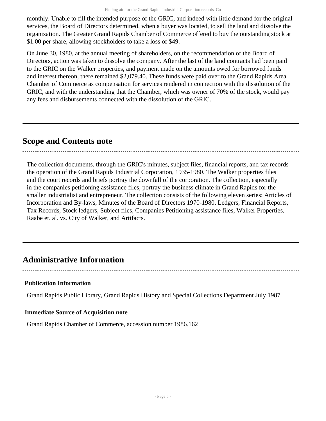monthly. Unable to fill the intended purpose of the GRIC, and indeed with little demand for the original services, the Board of Directors determined, when a buyer was located, to sell the land and dissolve the organization. The Greater Grand Rapids Chamber of Commerce offered to buy the outstanding stock at \$1.00 per share, allowing stockholders to take a loss of \$49.

On June 30, 1980, at the annual meeting of shareholders, on the recommendation of the Board of Directors, action was taken to dissolve the company. After the last of the land contracts had been paid to the GRIC on the Walker properties, and payment made on the amounts owed for borrowed funds and interest thereon, there remained \$2,079.40. These funds were paid over to the Grand Rapids Area Chamber of Commerce as compensation for services rendered in connection with the dissolution of the GRIC, and with the understanding that the Chamber, which was owner of 70% of the stock, would pay any fees and disbursements connected with the dissolution of the GRIC.

### <span id="page-4-0"></span>**Scope and Contents note**

The collection documents, through the GRIC's minutes, subject files, financial reports, and tax records the operation of the Grand Rapids Industrial Corporation, 1935-1980. The Walker properties files and the court records and briefs portray the downfall of the corporation. The collection, especially in the companies petitioning assistance files, portray the business climate in Grand Rapids for the smaller industrialist and entrepreneur. The collection consists of the following eleven series: Articles of Incorporation and By-laws, Minutes of the Board of Directors 1970-1980, Ledgers, Financial Reports, Tax Records, Stock ledgers, Subject files, Companies Petitioning assistance files, Walker Properties, Raabe et. al. vs. City of Walker, and Artifacts.

### <span id="page-4-1"></span>**Administrative Information**

#### **Publication Information**

Grand Rapids Public Library, Grand Rapids History and Special Collections Department July 1987

#### **Immediate Source of Acquisition note**

Grand Rapids Chamber of Commerce, accession number 1986.162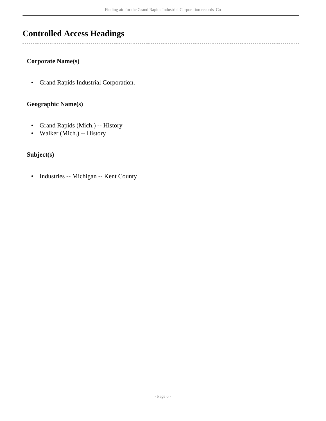## <span id="page-5-0"></span>**Controlled Access Headings**

### **Corporate Name(s)**

 $\overline{a}$ 

• Grand Rapids Industrial Corporation.

#### **Geographic Name(s)**

- Grand Rapids (Mich.) -- History
- Walker (Mich.) -- History

#### **Subject(s)**

• Industries -- Michigan -- Kent County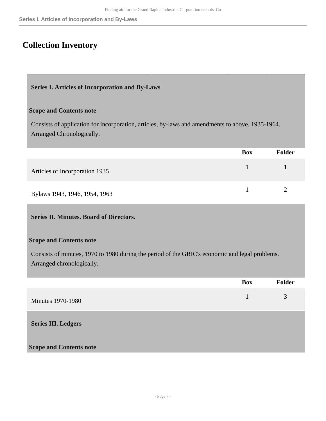## <span id="page-6-0"></span>**Collection Inventory**

#### <span id="page-6-1"></span>**Series I. Articles of Incorporation and By-Laws**

#### **Scope and Contents note**

Consists of application for incorporation, articles, by-laws and amendments to above. 1935-1964. Arranged Chronologically.

|                                | <b>Box</b> | Folder |
|--------------------------------|------------|--------|
| Articles of Incorporation 1935 |            |        |
| Bylaws 1943, 1946, 1954, 1963  |            |        |

#### <span id="page-6-2"></span>**Series II. Minutes. Board of Directors.**

#### **Scope and Contents note**

Consists of minutes, 1970 to 1980 during the period of the GRIC's economic and legal problems. Arranged chronologically.

<span id="page-6-3"></span>

|                                | <b>Box</b> | Folder |
|--------------------------------|------------|--------|
| <b>Minutes 1970-1980</b>       | 1          | 3      |
| <b>Series III. Ledgers</b>     |            |        |
| <b>Scope and Contents note</b> |            |        |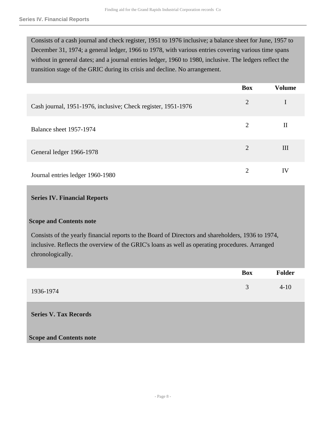Consists of a cash journal and check register, 1951 to 1976 inclusive; a balance sheet for June, 1957 to December 31, 1974; a general ledger, 1966 to 1978, with various entries covering various time spans without in general dates; and a journal entries ledger, 1960 to 1980, inclusive. The ledgers reflect the transition stage of the GRIC during its crisis and decline. No arrangement.

|                                                               | <b>Box</b>                  | <b>Volume</b> |
|---------------------------------------------------------------|-----------------------------|---------------|
| Cash journal, 1951-1976, inclusive; Check register, 1951-1976 | $\overline{2}$              |               |
| Balance sheet 1957-1974                                       | $\overline{2}$              | $_{\rm II}$   |
| General ledger 1966-1978                                      | $\mathcal{D}_{\mathcal{L}}$ | Ш             |
| Journal entries ledger 1960-1980                              | 2                           | IV            |

#### <span id="page-7-0"></span>**Series IV. Financial Reports**

#### **Scope and Contents note**

Consists of the yearly financial reports to the Board of Directors and shareholders, 1936 to 1974, inclusive. Reflects the overview of the GRIC's loans as well as operating procedures. Arranged chronologically.

<span id="page-7-1"></span>

|                                | <b>Box</b> | <b>Folder</b> |
|--------------------------------|------------|---------------|
| 1936-1974                      | 3          | $4 - 10$      |
| <b>Series V. Tax Records</b>   |            |               |
| <b>Scope and Contents note</b> |            |               |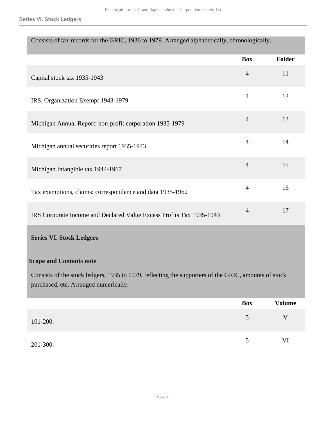**Series VI. Stock Ledgers**

| Consists of tax records for the GRIC, 1936 to 1979. Arranged alphabetically, chronologically. |  |  |
|-----------------------------------------------------------------------------------------------|--|--|
|                                                                                               |  |  |

|                                                                                                                                               | <b>Box</b>     | Folder        |
|-----------------------------------------------------------------------------------------------------------------------------------------------|----------------|---------------|
| Capital stock tax 1935-1943                                                                                                                   | $\overline{4}$ | 11            |
| IRS, Organization Exempt 1943-1979                                                                                                            | $\overline{4}$ | 12            |
| Michigan Annual Report: non-profit corporation 1935-1979                                                                                      | $\overline{4}$ | 13            |
| Michigan annual securities report 1935-1943                                                                                                   | $\overline{4}$ | 14            |
| Michigan Intangible tax 1944-1967                                                                                                             | $\overline{4}$ | 15            |
| Tax exemptions, claims: correspondence and data 1935-1962                                                                                     | $\overline{4}$ | 16            |
| IRS Corporate Income and Declared Value Excess Profits Tax 1935-1943                                                                          | $\overline{4}$ | 17            |
| <b>Series VI. Stock Ledgers</b>                                                                                                               |                |               |
| <b>Scope and Contents note</b>                                                                                                                |                |               |
| Consists of the stock ledgers, 1935 to 1979, reflecting the supporters of the GRIC, amounts of stock<br>purchased, etc. Arranged numerically. |                |               |
|                                                                                                                                               | <b>Box</b>     | <b>Volume</b> |
| 101-200.                                                                                                                                      | 5              | $\mathbf V$   |
| 201-300.                                                                                                                                      | $\mathfrak{S}$ | $\mbox{VI}$   |

<span id="page-8-0"></span>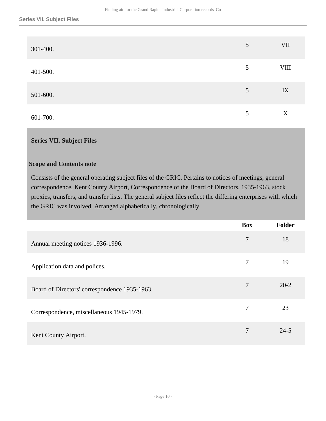| 301-400. | $\overline{5}$ | <b>VII</b> |
|----------|----------------|------------|
| 401-500. | 5              | $\rm VIII$ |
| 501-600. | 5              | IX         |
| 601-700. | 5              | X          |

#### <span id="page-9-0"></span>**Series VII. Subject Files**

#### **Scope and Contents note**

Consists of the general operating subject files of the GRIC. Pertains to notices of meetings, general correspondence, Kent County Airport, Correspondence of the Board of Directors, 1935-1963, stock proxies, transfers, and transfer lists. The general subject files reflect the differing enterprises with which the GRIC was involved. Arranged alphabetically, chronologically.

|                                               | <b>Box</b> | <b>Folder</b> |
|-----------------------------------------------|------------|---------------|
| Annual meeting notices 1936-1996.             | 7          | 18            |
| Application data and polices.                 | 7          | 19            |
| Board of Directors' correspondence 1935-1963. | 7          | $20 - 2$      |
| Correspondence, miscellaneous 1945-1979.      | 7          | 23            |
| Kent County Airport.                          | 7          | $24 - 5$      |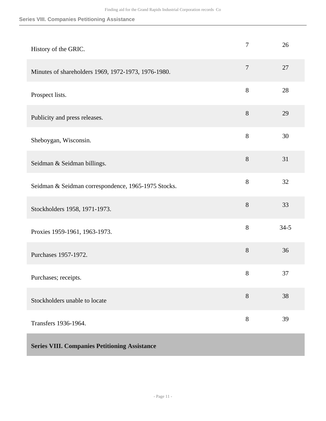<span id="page-10-0"></span>

| History of the GRIC.                                 | $\tau$           | 26       |
|------------------------------------------------------|------------------|----------|
| Minutes of shareholders 1969, 1972-1973, 1976-1980.  | $\boldsymbol{7}$ | 27       |
| Prospect lists.                                      | 8                | 28       |
| Publicity and press releases.                        | $8\,$            | 29       |
| Sheboygan, Wisconsin.                                | 8                | 30       |
| Seidman & Seidman billings.                          | 8                | 31       |
| Seidman & Seidman correspondence, 1965-1975 Stocks.  | 8                | 32       |
| Stockholders 1958, 1971-1973.                        | 8                | 33       |
| Proxies 1959-1961, 1963-1973.                        | 8                | $34 - 5$ |
| Purchases 1957-1972.                                 | $8\,$            | 36       |
| Purchases; receipts.                                 | 8                | 37       |
| Stockholders unable to locate                        | 8                | 38       |
| Transfers 1936-1964.                                 | 8                | 39       |
| <b>Series VIII. Companies Petitioning Assistance</b> |                  |          |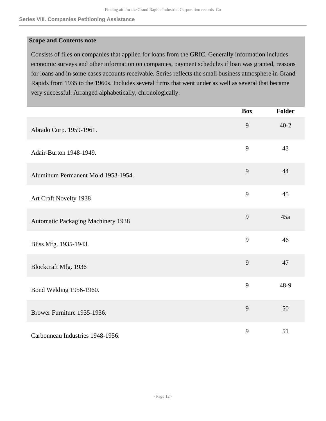#### **Scope and Contents note**

Consists of files on companies that applied for loans from the GRIC. Generally information includes economic surveys and other information on companies, payment schedules if loan was granted, reasons for loans and in some cases accounts receivable. Series reflects the small business atmosphere in Grand Rapids from 1935 to the 1960s. Includes several firms that went under as well as several that became very successful. Arranged alphabetically, chronologically.

|                                           | <b>Box</b> | Folder   |
|-------------------------------------------|------------|----------|
| Abrado Corp. 1959-1961.                   | 9          | $40 - 2$ |
| Adair-Burton 1948-1949.                   | 9          | 43       |
| Aluminum Permanent Mold 1953-1954.        | 9          | 44       |
| Art Craft Novelty 1938                    | 9          | 45       |
| <b>Automatic Packaging Machinery 1938</b> | 9          | 45a      |
| Bliss Mfg. 1935-1943.                     | 9          | 46       |
| Blockcraft Mfg. 1936                      | 9          | 47       |
| Bond Welding 1956-1960.                   | 9          | 48-9     |
| Brower Furniture 1935-1936.               | 9          | 50       |
| Carbonneau Industries 1948-1956.          | 9          | 51       |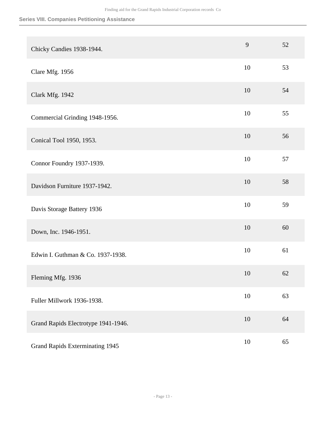| Chicky Candies 1938-1944.              | 9  | 52 |
|----------------------------------------|----|----|
| Clare Mfg. 1956                        | 10 | 53 |
| Clark Mfg. 1942                        | 10 | 54 |
| Commercial Grinding 1948-1956.         | 10 | 55 |
| Conical Tool 1950, 1953.               | 10 | 56 |
| Connor Foundry 1937-1939.              | 10 | 57 |
| Davidson Furniture 1937-1942.          | 10 | 58 |
| Davis Storage Battery 1936             | 10 | 59 |
| Down, Inc. 1946-1951.                  | 10 | 60 |
| Edwin I. Guthman & Co. 1937-1938.      | 10 | 61 |
| Fleming Mfg. 1936                      | 10 | 62 |
| Fuller Millwork 1936-1938.             | 10 | 63 |
| Grand Rapids Electrotype 1941-1946.    | 10 | 64 |
| <b>Grand Rapids Exterminating 1945</b> | 10 | 65 |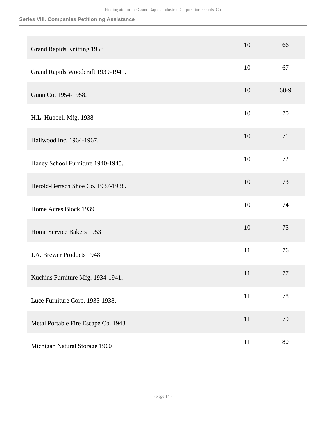| <b>Grand Rapids Knitting 1958</b>   | 10     | 66      |
|-------------------------------------|--------|---------|
| Grand Rapids Woodcraft 1939-1941.   | 10     | 67      |
| Gunn Co. 1954-1958.                 | 10     | 68-9    |
| H.L. Hubbell Mfg. 1938              | 10     | 70      |
| Hallwood Inc. 1964-1967.            | 10     | 71      |
| Haney School Furniture 1940-1945.   | 10     | 72      |
| Herold-Bertsch Shoe Co. 1937-1938.  | 10     | 73      |
| Home Acres Block 1939               | 10     | 74      |
| Home Service Bakers 1953            | 10     | 75      |
| J.A. Brewer Products 1948           | 11     | 76      |
| Kuchins Furniture Mfg. 1934-1941.   | 11     | $77 \,$ |
| Luce Furniture Corp. 1935-1938.     | $11\,$ | 78      |
| Metal Portable Fire Escape Co. 1948 | 11     | 79      |
| Michigan Natural Storage 1960       | 11     | 80      |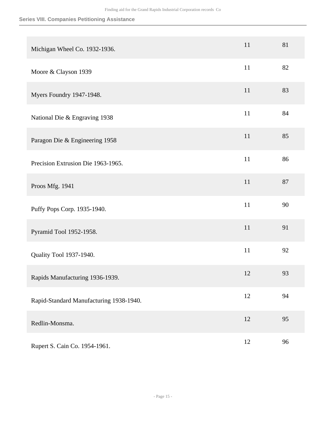| Michigan Wheel Co. 1932-1936.           | 11 | 81 |
|-----------------------------------------|----|----|
| Moore & Clayson 1939                    | 11 | 82 |
| Myers Foundry 1947-1948.                | 11 | 83 |
| National Die & Engraving 1938           | 11 | 84 |
| Paragon Die & Engineering 1958          | 11 | 85 |
| Precision Extrusion Die 1963-1965.      | 11 | 86 |
| Proos Mfg. 1941                         | 11 | 87 |
| Puffy Pops Corp. 1935-1940.             | 11 | 90 |
| Pyramid Tool 1952-1958.                 | 11 | 91 |
| Quality Tool 1937-1940.                 | 11 | 92 |
| Rapids Manufacturing 1936-1939.         | 12 | 93 |
| Rapid-Standard Manufacturing 1938-1940. | 12 | 94 |
| Redlin-Monsma.                          | 12 | 95 |
| Rupert S. Cain Co. 1954-1961.           | 12 | 96 |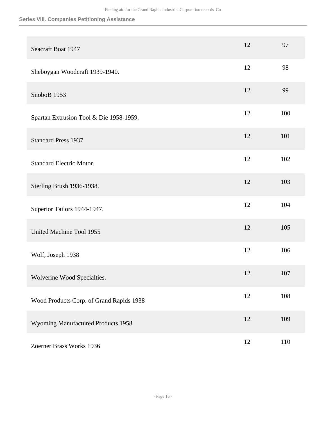| Seacraft Boat 1947                       | 12 | 97  |
|------------------------------------------|----|-----|
| Sheboygan Woodcraft 1939-1940.           | 12 | 98  |
| SnoboB 1953                              | 12 | 99  |
| Spartan Extrusion Tool & Die 1958-1959.  | 12 | 100 |
| <b>Standard Press 1937</b>               | 12 | 101 |
| <b>Standard Electric Motor.</b>          | 12 | 102 |
| Sterling Brush 1936-1938.                | 12 | 103 |
| Superior Tailors 1944-1947.              | 12 | 104 |
| United Machine Tool 1955                 | 12 | 105 |
| Wolf, Joseph 1938                        | 12 | 106 |
| Wolverine Wood Specialties.              | 12 | 107 |
| Wood Products Corp. of Grand Rapids 1938 | 12 | 108 |
| Wyoming Manufactured Products 1958       | 12 | 109 |
| Zoerner Brass Works 1936                 | 12 | 110 |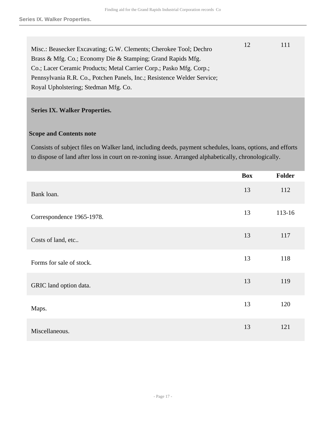| Misc.: Beasecker Excavating; G.W. Clements; Cherokee Tool; Dechro       | 12 | 111 |
|-------------------------------------------------------------------------|----|-----|
| Brass & Mfg. Co.; Economy Die & Stamping; Grand Rapids Mfg.             |    |     |
| Co.; Lacer Ceramic Products; Metal Carrier Corp.; Pasko Mfg. Corp.;     |    |     |
| Pennsylvania R.R. Co., Potchen Panels, Inc.; Resistence Welder Service; |    |     |
| Royal Upholstering; Stedman Mfg. Co.                                    |    |     |
|                                                                         |    |     |

#### <span id="page-16-0"></span>**Series IX. Walker Properties.**

#### **Scope and Contents note**

Consists of subject files on Walker land, including deeds, payment schedules, loans, options, and efforts to dispose of land after loss in court on re-zoning issue. Arranged alphabetically, chronologically.

|                           | <b>Box</b> | <b>Folder</b> |
|---------------------------|------------|---------------|
| Bank loan.                | 13         | 112           |
| Correspondence 1965-1978. | 13         | 113-16        |
| Costs of land, etc        | 13         | 117           |
| Forms for sale of stock.  | 13         | 118           |
| GRIC land option data.    | 13         | 119           |
| Maps.                     | 13         | 120           |
| Miscellaneous.            | 13         | 121           |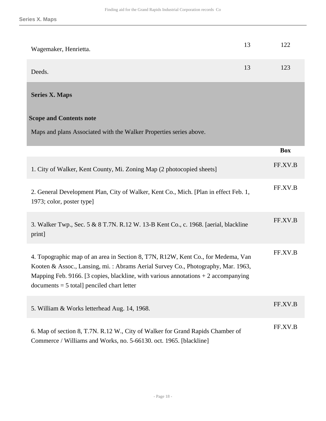<span id="page-17-0"></span>

| Wagemaker, Henrietta.                                                                                                                                                                                                                                                                                         | 13 | 122        |
|---------------------------------------------------------------------------------------------------------------------------------------------------------------------------------------------------------------------------------------------------------------------------------------------------------------|----|------------|
| Deeds.                                                                                                                                                                                                                                                                                                        | 13 | 123        |
| <b>Series X. Maps</b>                                                                                                                                                                                                                                                                                         |    |            |
| <b>Scope and Contents note</b><br>Maps and plans Associated with the Walker Properties series above.                                                                                                                                                                                                          |    |            |
|                                                                                                                                                                                                                                                                                                               |    | <b>Box</b> |
| 1. City of Walker, Kent County, Mi. Zoning Map (2 photocopied sheets]                                                                                                                                                                                                                                         |    | FF.XV.B    |
| 2. General Development Plan, City of Walker, Kent Co., Mich. [Plan in effect Feb. 1,<br>1973; color, poster type]                                                                                                                                                                                             |    | FF.XV.B    |
| 3. Walker Twp., Sec. 5 & 8 T.7N. R.12 W. 13-B Kent Co., c. 1968. [aerial, blackline<br>print]                                                                                                                                                                                                                 |    | FF.XV.B    |
| 4. Topographic map of an area in Section 8, T7N, R12W, Kent Co., for Medema, Van<br>Kooten & Assoc., Lansing, mi.: Abrams Aerial Survey Co., Photography, Mar. 1963,<br>Mapping Feb. 9166. [3 copies, blackline, with various annotations $+2$ accompanying<br>$documents = 5 total]  predicted chart letter$ |    | FF.XV.B    |
| 5. William & Works letterhead Aug. 14, 1968.                                                                                                                                                                                                                                                                  |    | FF.XV.B    |
| 6. Map of section 8, T.7N. R.12 W., City of Walker for Grand Rapids Chamber of<br>Commerce / Williams and Works, no. 5-66130. oct. 1965. [blackline]                                                                                                                                                          |    | FF.XV.B    |